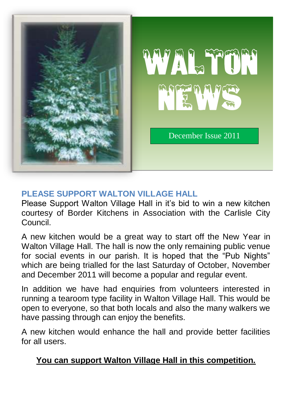

# **PLEASE SUPPORT WALTON VILLAGE HALL**

Please Support Walton Village Hall in it's bid to win a new kitchen courtesy of Border Kitchens in Association with the Carlisle City Council.

A new kitchen would be a great way to start off the New Year in Walton Village Hall. The hall is now the only remaining public venue for social events in our parish. It is hoped that the "Pub Nights" which are being trialled for the last Saturday of October, November and December 2011 will become a popular and regular event.

In addition we have had enquiries from volunteers interested in running a tearoom type facility in Walton Village Hall. This would be open to everyone, so that both locals and also the many walkers we have passing through can enjoy the benefits.

A new kitchen would enhance the hall and provide better facilities for all users.

# **You can support Walton Village Hall in this competition.**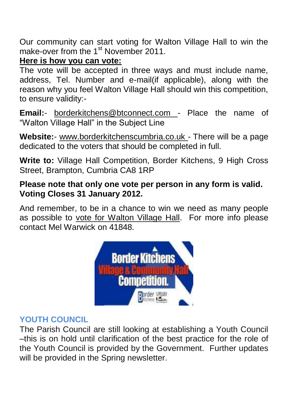Our community can start voting for Walton Village Hall to win the make-over from the 1<sup>st</sup> November 2011.

# **Here is how you can vote:**

The vote will be accepted in three ways and must include name, address, Tel. Number and e-mail(if applicable), along with the reason why you feel Walton Village Hall should win this competition, to ensure validity:-

**Email:**- borderkitchens@btconnect.com - Place the name of "Walton Village Hall" in the Subject Line

**Website:**- www.borderkitchenscumbria.co.uk - There will be a page dedicated to the voters that should be completed in full.

**Write to:** Village Hall Competition, Border Kitchens, 9 High Cross Street, Brampton, Cumbria CA8 1RP

# **Please note that only one vote per person in any form is valid. Voting Closes 31 January 2012.**

And remember, to be in a chance to win we need as many people as possible to vote for Walton Village Hall. For more info please contact Mel Warwick on 41848.



# **YOUTH COUNCIL**

The Parish Council are still looking at establishing a Youth Council –this is on hold until clarification of the best practice for the role of the Youth Council is provided by the Government. Further updates will be provided in the Spring newsletter.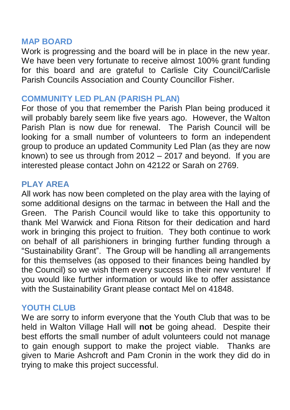#### **MAP BOARD**

Work is progressing and the board will be in place in the new year. We have been very fortunate to receive almost 100% grant funding for this board and are grateful to Carlisle City Council/Carlisle Parish Councils Association and County Councillor Fisher.

### **COMMUNITY LED PLAN (PARISH PLAN)**

For those of you that remember the Parish Plan being produced it will probably barely seem like five years ago. However, the Walton Parish Plan is now due for renewal. The Parish Council will be looking for a small number of volunteers to form an independent group to produce an updated Community Led Plan (as they are now known) to see us through from 2012 – 2017 and beyond. If you are interested please contact John on 42122 or Sarah on 2769.

#### **PLAY AREA**

All work has now been completed on the play area with the laying of some additional designs on the tarmac in between the Hall and the Green. The Parish Council would like to take this opportunity to thank Mel Warwick and Fiona Ritson for their dedication and hard work in bringing this project to fruition. They both continue to work on behalf of all parishioners in bringing further funding through a "Sustainability Grant". The Group will be handling all arrangements for this themselves (as opposed to their finances being handled by the Council) so we wish them every success in their new venture! If you would like further information or would like to offer assistance with the Sustainability Grant please contact Mel on 41848.

#### **YOUTH CLUB**

We are sorry to inform everyone that the Youth Club that was to be held in Walton Village Hall will **not** be going ahead. Despite their best efforts the small number of adult volunteers could not manage to gain enough support to make the project viable. Thanks are given to Marie Ashcroft and Pam Cronin in the work they did do in trying to make this project successful.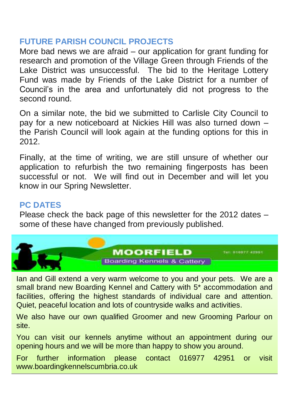### **FUTURE PARISH COUNCIL PROJECTS**

More bad news we are afraid – our application for grant funding for research and promotion of the Village Green through Friends of the Lake District was unsuccessful. The bid to the Heritage Lottery Fund was made by Friends of the Lake District for a number of Council's in the area and unfortunately did not progress to the second round.

On a similar note, the bid we submitted to Carlisle City Council to pay for a new noticeboard at Nickies Hill was also turned down – the Parish Council will look again at the funding options for this in 2012.

Finally, at the time of writing, we are still unsure of whether our application to refurbish the two remaining fingerposts has been successful or not. We will find out in December and will let you know in our Spring Newsletter.

# **PC DATES**

Please check the back page of this newsletter for the 2012 dates – some of these have changed from previously published.



Ian and Gill extend a very warm welcome to you and your pets. We are a small brand new Boarding Kennel and Cattery with 5\* accommodation and facilities, offering the highest standards of individual care and attention. Quiet, peaceful location and lots of countryside walks and activities.

We also have our own qualified Groomer and new Grooming Parlour on site.

You can visit our kennels anytime without an appointment during our opening hours and we will be more than happy to show you around.

For further information please contact 016977 42951 or visit www.boardingkennelscumbria.co.uk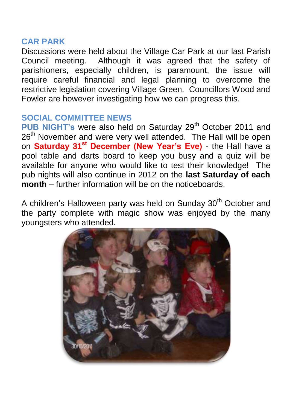#### **CAR PARK**

Discussions were held about the Village Car Park at our last Parish Council meeting. Although it was agreed that the safety of parishioners, especially children, is paramount, the issue will require careful financial and legal planning to overcome the restrictive legislation covering Village Green. Councillors Wood and Fowler are however investigating how we can progress this.

### **SOCIAL COMMITTEE NEWS**

PUB NIGHT's were also held on Saturday 29<sup>th</sup> October 2011 and 26<sup>th</sup> November and were very well attended. The Hall will be open on **Saturday 31st December (New Year's Eve)** - the Hall have a pool table and darts board to keep you busy and a quiz will be available for anyone who would like to test their knowledge! The pub nights will also continue in 2012 on the **last Saturday of each month** – further information will be on the noticeboards.

A children's Halloween party was held on Sunday 30<sup>th</sup> October and the party complete with magic show was enjoyed by the many youngsters who attended.

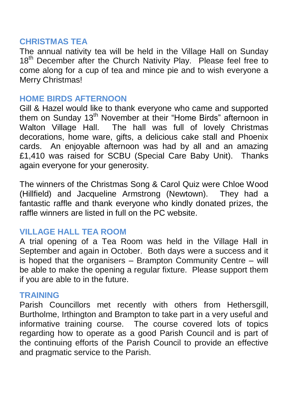#### **CHRISTMAS TEA**

The annual nativity tea will be held in the Village Hall on Sunday 18<sup>th</sup> December after the Church Nativity Play. Please feel free to come along for a cup of tea and mince pie and to wish everyone a Merry Christmas!

### **HOME BIRDS AFTERNOON**

Gill & Hazel would like to thank everyone who came and supported them on Sunday 13<sup>th</sup> November at their "Home Birds" afternoon in Walton Village Hall. The hall was full of lovely Christmas decorations, home ware, gifts, a delicious cake stall and Phoenix cards. An enjoyable afternoon was had by all and an amazing £1,410 was raised for SCBU (Special Care Baby Unit). Thanks again everyone for your generosity.

The winners of the Christmas Song & Carol Quiz were Chloe Wood (Hillfield) and Jacqueline Armstrong (Newtown). They had a fantastic raffle and thank everyone who kindly donated prizes, the raffle winners are listed in full on the PC website.

### **VILLAGE HALL TEA ROOM**

A trial opening of a Tea Room was held in the Village Hall in September and again in October. Both days were a success and it is hoped that the organisers – Brampton Community Centre – will be able to make the opening a regular fixture. Please support them if you are able to in the future.

#### **TRAINING**

Parish Councillors met recently with others from Hethersgill, Burtholme, Irthington and Brampton to take part in a very useful and informative training course. The course covered lots of topics regarding how to operate as a good Parish Council and is part of the continuing efforts of the Parish Council to provide an effective and pragmatic service to the Parish.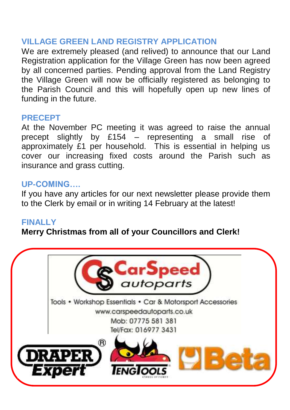### **VILLAGE GREEN LAND REGISTRY APPLICATION**

We are extremely pleased (and relived) to announce that our Land Registration application for the Village Green has now been agreed by all concerned parties. Pending approval from the Land Registry the Village Green will now be officially registered as belonging to the Parish Council and this will hopefully open up new lines of funding in the future.

### **PRECEPT**

At the November PC meeting it was agreed to raise the annual precept slightly by £154 – representing a small rise of approximately £1 per household. This is essential in helping us cover our increasing fixed costs around the Parish such as insurance and grass cutting.

### **UP-COMING….**

If you have any articles for our next newsletter please provide them to the Clerk by email or in writing 14 February at the latest!

#### **FINALLY**

**Merry Christmas from all of your Councillors and Clerk!**